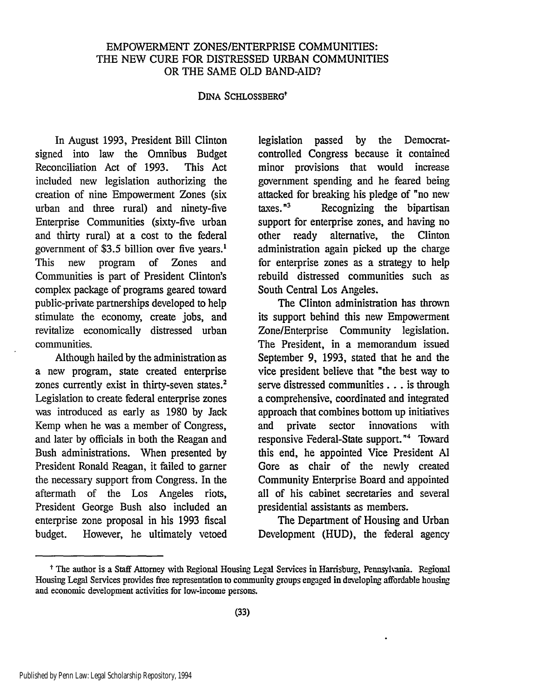### EMPOWERMENT ZONES/ENTERPRISE COMMUNITIES: THE NEW CURE FOR DISTRESSED URBAN COMMUNITIES OR THE SAME OLD BAND-AID?

#### DINA SCHLOSSBERGt

In August 1993, President Bill Clinton signed into law the Omnibus Budget Reconciliation Act of 1993. This Act included new legislation authorizing the creation of nine Empowerment Zones (six urban and three rural) and ninety-five Enterprise Communities (sixty-five urban and thirty rural) at a cost to the federal government of \$3.5 billion over five years.<sup>1</sup> This new program of Zones and Communities is part of President Clinton's complex package of programs geared toward public-private partnerships developed to help stimulate the economy, create jobs, and revitalize economically distressed urban communities.

Although hailed by the administration as a new program, state created enterprise zones currently exist in thirty-seven states.<sup>2</sup> Legislation to create federal enterprise zones was introduced as early as 1980 by Jack Kemp when he was a member of Congress, and later by officials in both the Reagan and Bush administrations. When presented by President Ronald Reagan, it failed to garner the necessary support from Congress. In the aftermath of the Los Angeles riots, President George Bush also included an enterprise zone proposal in his 1993 fiscal budget. However, he ultimately vetoed

legislation passed by the Democratcontrolled Congress because it contained minor provisions that would increase government spending and he feared being attacked for breaking his pledge of "no new  $\mu$  taxes.<sup> $n<sub>3</sub>$  Recognizing the bipartisan</sup> support for enterprise zones, and having no other ready alternative, the Clinton administration again picked up the charge for enterprise zones as a strategy to help rebuild distressed communities such as South Central Los Angeles.

The Clinton administration has thrown its support behind this new Empowerment Zone/Enterprise Community legislation. The President, in a memorandum issued September 9, 1993, stated that he and the vice president believe that "the best way to serve distressed communities... is through a comprehensive, coordinated and integrated approach that combines bottom up initiatives and private sector innovations with responsive Federal-State support."<sup>4</sup> Toward this end, he appointed Vice President **Al** Gore as chair of the newly created Community Enterprise Board and appointed all of his cabinet secretaries and several presidential assistants as members.

The Department of Housing and Urban Development (HUD), the federal agency

<sup>&</sup>lt;sup>†</sup> The author is a Staff Attorney with Regional Housing Legal Services in Harrisburg, Pennsylvania. Regional Housing Legal Services provides free representation to community groups engaged in developing affordable housing and economic development activities for low-income persons.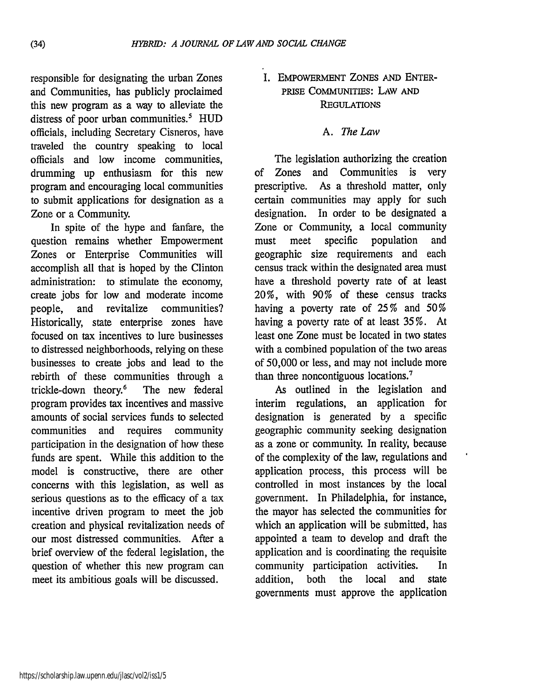responsible for designating the urban Zones and Communities, has publicly proclaimed this new program as a way to alleviate the distress of poor urban communities.<sup>5</sup> HUD officials, including Secretary Cisneros, have traveled the country speaking to local officials and low income communities, drumming up enthusiasm for this new program and encouraging local communities to submit applications for designation as a Zone or a Community.

In spite of the hype and fanfare, the question remains whether Empowerment Zones or Enterprise Communities will accomplish all that is hoped by the Clinton administration: to stimulate the economy, create jobs for low and moderate income people, and revitalize communities? Historically, state enterprise zones have focused on tax incentives to lure businesses to distressed neighborhoods, relying on these businesses to create jobs and lead to the rebirth of these communities through a trickle-down theory.<sup>6</sup> The new federal program provides tax incentives and massive amounts of social services funds to selected communities and requires community participation in the designation of how these funds are spent. While this addition to the model is constructive, there are other concerns with this legislation, as well as serious questions as to the efficacy of a tax incentive driven program to meet the job creation and physical revitalization needs of our most distressed communities. After a brief overview of the federal legislation, the question of whether this new program can meet its ambitious goals will be discussed.

**I.** EMPOWERMENT ZONES AND ENTER-PRISE COMMUNITIES: *LAW* **AND REGULATIONS** 

#### A. *The Law*

The legislation authorizing the creation of Zones and Communities is very prescriptive. As a threshold matter, only certain communities may apply for such designation. In order to be designated a Zone or Community, a local community must meet specific population and geographic size requirements and each census track within the designated area must have a threshold poverty rate of at least 20%, with 90% of these census tracks having a poverty rate of 25% and 50% having a poverty rate of at least 35 %. At least one Zone must be located in two states with a combined population of the two areas of 50,000 or less, and may not include more than three noncontiguous locations.<sup>7</sup>

As outlined in the legislation and interim regulations, an application for designation is generated by a specific geographic community seeking designation as a zone or community. In reality, because of the complexity of the law, regulations and application process, this process will be controlled in most instances by the local government. In Philadelphia, for instance, the mayor has selected the communities for which an application will be submitted, has appointed a team to develop and draft the application and is coordinating the requisite community participation activities. In addition, both the local and state governments must approve the application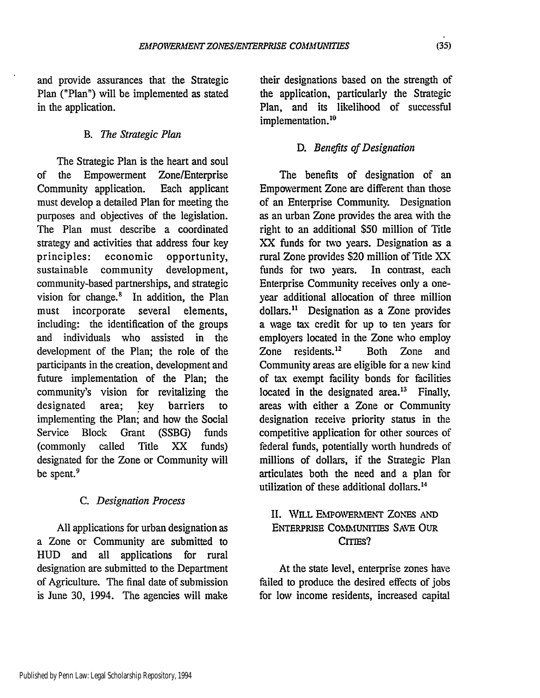and provide assurances that the Strategic Plan ("Plan") will be implemented as stated in the application.

### B. *The Strategic Plan*

The Strategic Plan is the heart and soul of the Empowerment Zone/Enterprise Community application. Each applicant must develop a detailed Plan for meeting the purposes and objectives of the legislation. The Plan must describe a coordinated strategy and activities that address four key principles: economic opportunity, sustainable community development, community-based partnerships, and strategic vision for change. $8$  In addition, the Plan must incorporate several elements, including: the identification of the groups and individuals who assisted in the development of the Plan; the role of the participants in the creation, development and future implementation of the Plan; the community's vision for revitalizing the designated area; key barriers to implementing the Plan; and how the Social Service Block Grant (SSBG) funds (commonly called Title XX funds) designated for the Zone or Community will be spent.<sup>9</sup>

### *C. Designation Process*

All applications for urban designation as a Zone or Community are submitted to HUD and all applications for rural designation are submitted to the Department of Agriculture. The final date of submission is June 30, 1994. The agencies will make

their designations based on the strength of the application, particularly the Strategic Plan, and its likelihood of successful implementation.<sup>10</sup>

## *D. Benefits of Designation*

The benefits of designation of an Empowerment Zone are different than those of an Enterprise Community. Designation as an urban Zone provides the area with the right to an additional \$50 million of Title XX funds for two years. Designation as a rural Zone provides \$20 million of Title XX funds for two years. In contrast, each Enterprise Community receives only a oneyear additional allocation of three million dollars." Designation as a Zone provides a xage tax credit for up to ten years for employers located in the Zone who employ Zone residents. $12$  Both Zone and Community areas are eligible for a new kind of tax exempt facility bonds for facilities located in the designated area. $13$  Finally, areas with either a Zone or Community designation receive priority status in the competitive application for other sources of federal funds, potentially worth hundreds of millions of dollars, if the Strategic Plan articulates both the need and a plan for utilization of these additional dollars.<sup>14</sup>

## II. WILL **EmpOvERMENT ZONES AND** ENTERPRISE COMMUNITIES SAVE OUR CITIES?

At the state level, enterprise zones have failed to produce the desired effects of jobs for low income residents, increased capital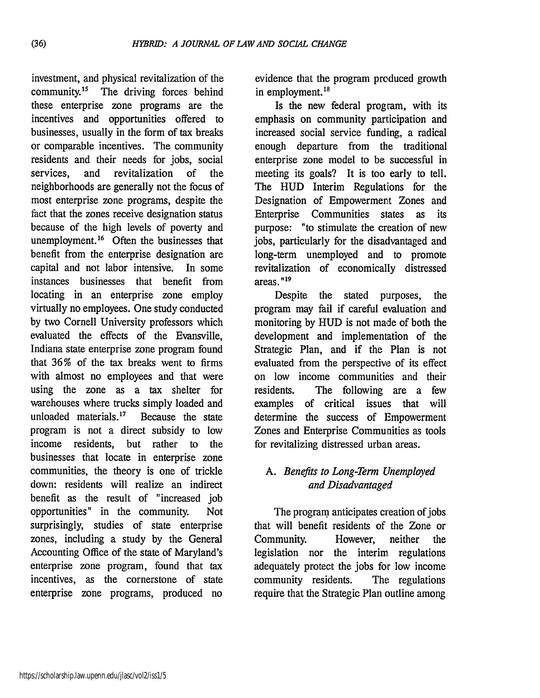investment, and physical revitalization of the community.15 The driving forces behind these enterprise zone programs are the incentives and opportunities offered to businesses, usually in the form of tax breaks or comparable incentives. The community residents and their needs for jobs, social services, and revitalization of the neighborhoods are generally not the focus of most enterprise zone programs, despite the fact that the zones receive designation status because of the high levels of poverty and unemployment.<sup>16</sup> Often the businesses that benefit from the enterprise designation are capital and not labor intensive. In some instances businesses that benefit from locating in an enterprise zone employ virtually no employees. One study conducted by two Cornell University professors which evaluated the effects of the Evansville, Indiana state enterprise zone program found that 36% of the tax breaks went to firms with almost no employees and that were using the zone as a tax shelter for warehouses where trucks simply loaded and unloaded materials. $17$  Because the state program is not a direct subsidy to low income residents, but rather to the businesses that locate in enterprise zone communities, the theory is one of trickle down: residents will realize an indirect benefit as the result of "increased job opportunities" in the community. Not surprisingly, studies of state enterprise zones, including a study by the General Accounting Office of the state of Maryland's enterprise zone program, found that tax incentives, as the cornerstone of state enterprise zone programs, produced no

evidence that the program produced growth in employment. $18$ 

Is the new federal program, with its emphasis on community participation and increased social service funding, a radical enough departure from the traditional enterprise zone model to be successful in meeting its goals? It is too early to tell. The HUD Interim Regulations for the Designation of Empowerment Zones and Enterprise Communities states as its purpose: "to stimulate the creation of new jobs, particularly for the disadvantaged and long-term unemployed and to promote revitalization of economically distressed areas. **"19**

Despite the stated purposes, the program may fail if careful evaluation and monitoring by HUD is not made of both the development and implementation of the Strategic Plan, and if the Plan is not evaluated from the perspective of its effect on low income communities and their residents. The following are a few examples of critical issues that will determine the success of Empowerment Zones and Enterprise Communities as tools for revitalizing distressed urban areas.

# *A. Benefits to Long-Term Unemployed and Disadvantaged*

The program anticipates creation of jobs that will benefit residents of the Zone or Community. However, neither the legislation nor the interim regulations adequately protect the jobs for low income community residents. The regulations require that the Strategic Plan outline among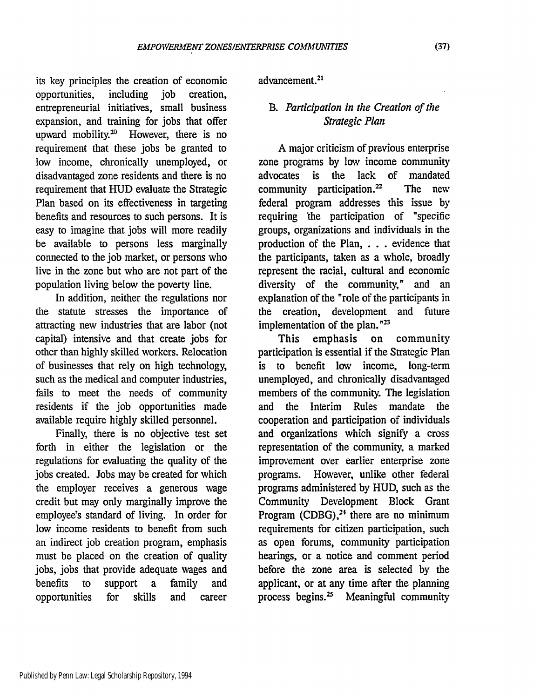its key principles the creation of economic opportunities, including job creation, entrepreneurial initiatives, small business expansion, and training for jobs that offer upward mobility.<sup>20</sup> However, there is no requirement that these jobs be granted to low income, chronically unemployed, or disadvantaged zone residents and there is no requirement that HUD evaluate the Strategic Plan based on its effectiveness in targeting benefits and resources to such persons. It is easy to imagine that jobs will more readily be available to persons less marginally connected to the job market, or persons who live in the zone but who are not part of the population living below the poverty line.

In addition, neither the regulations nor the statute stresses the importance of attracting new industries that are labor (not capital) intensive and that create jobs for other than highly skilled workers. Relocation of businesses that rely on high technology, such as the medical and computer industries, fails to meet the needs of community residents if the job opportunities made available require highly skilled personnel.

Finally, there is no objective test set forth in either the legislation or the regulations for evaluating the quality of the jobs created. Jobs may be created for which the employer receives a generous wage credit but may only marginally improve the employee's standard of living. In order for low income residents to benefit from such an indirect job creation program, emphasis must be placed on the creation of quality jobs, jobs that provide adequate wages and benefits to support a family and opportunities for skills and career

advancement.

# *B. Participation in the Creation of the Strategic Plan*

A major criticism of previous enterprise zone programs by low income community advocates is the lack of mandated community participation.<sup>22</sup> The new federal program addresses this issue by requiring 'the participation of "specific groups, organizations and individuals in the production of the Plan, **. . .** evidence that the participants, taken as a whole, broadly represent the racial, cultural and economic diversity of the community," and an explanation of the "role of the participants in the creation, development and future implementation of the plan. $n^{23}$ 

This emphasis on community participation is essential if the Strategic Plan to benefit low income, long-term unemployed, and chronically disadvantaged members of the community. The legislation and the Interim Rules mandate the cooperation and participation of individuals and organizations which signify a cross representation of the community, a marked improvement over earlier enterprise zone programs. However, unlike other federal programs administered by HUD, such as the Community Development Block Grant Program (CDBG), $^{24}$  there are no minimum requirements for citizen participation, such as open forums, community participation hearings, or a notice and comment period before the zone area is selected by the applicant, or at any time after the planning process begins. $25$  Meaningful community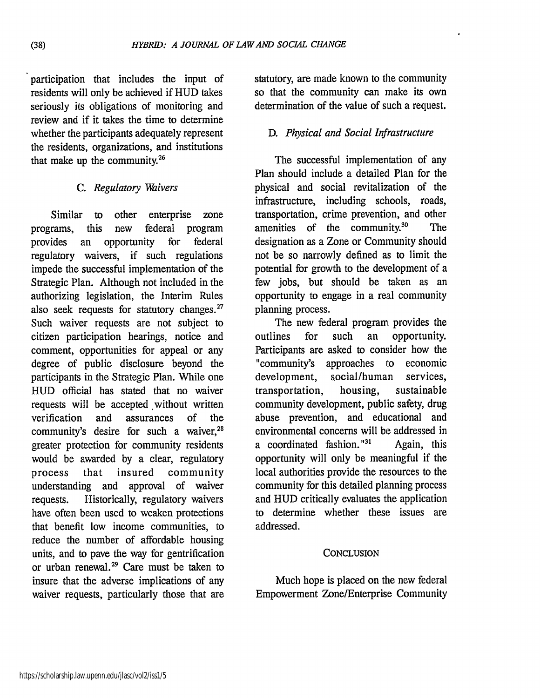participation that includes the input of residents will only be achieved if HUD takes seriously its obligations of monitoring and review and if it takes the time to determine whether the participants adequately represent the residents, organizations, and institutions that make up the community. $26$ 

## *C. Regulatory Waivers*

Similar to other enterprise zone programs, this new federal program provides an opportunity for federal regulatory waivers, if such regulations impede the successful implementation of the Strategic Plan. Although not included in the authorizing legislation, the Interim Rules also seek requests for statutory changes.<sup>27</sup> Such waiver requests are not subject to citizen participation hearings, notice and comment, opportunities for appeal or any degree of public disclosure beyond the participants in the Strategic Plan. While one HUD official has stated that no waiver requests will be accepted without written verification and assurances of the community's desire for such a waiver, $28$ greater protection for community residents would be awarded by a clear, regulatory process that insured community understanding and approval of waiver requests. Historically, regulatory waivers have often been used to weaken protections that benefit low income communities, to reduce the number of affordable housing units, and to pave the way for gentrification or urban renewal.29 Care must be taken to insure that the adverse implications of any waiver requests, particularly those that are

statutory, are made known to the community so that the community can make its own determination of the value of such a request.

# *D. Physical and Social Infrastructure*

The successful implementation of any Plan should include a detailed Plan for the physical and social revitalization of the infrastructure, including schools, roads, transportation, crime prevention, and other amenities of the community.<sup>30</sup> The designation as a Zone or Community should not be so narrowly defined as to limit the potential for growth to the development of a few jobs, but should be taken as an opportunity to engage in a real community planning process.

The new federal program provides the outlines for such an opportunity. Participants are asked to consider how the "community's approaches to economic development, social/human services, transportation, housing, sustainable community development, public safety, drug abuse prevention, and educational and environmental concerns will be addressed in a coordinated fashion.  $131$  Again, this opportunity will only be meaningful if the local authorities provide the resources to the community for this detailed planning process and HUD critically evaluates the application to determine whether these issues are addressed.

### **CONCLUSION**

Much hope is placed on the new federal Empowerment Zone/Enterprise Community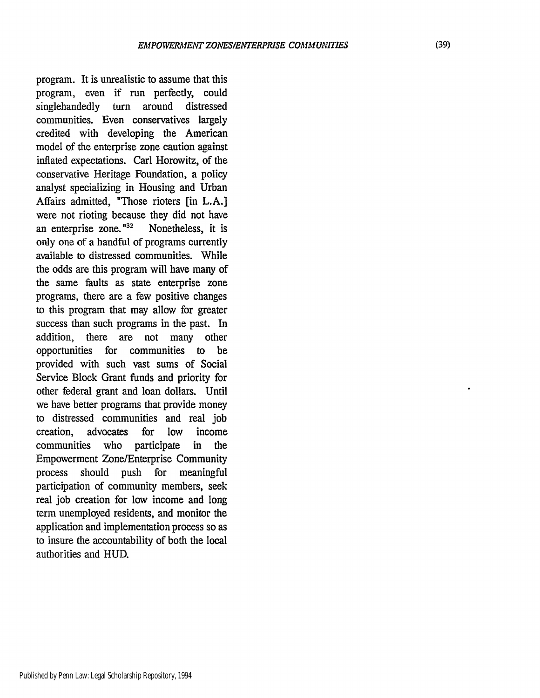program. It is unrealistic to assume that this program, even if run perfectly, could singlehandedly turn around distressed communities. Even conservatives largely credited with developing the American model of the enterprise zone caution against inflated expectations. Carl Horowitz, of the conservative Heritage Foundation, a policy analyst specializing in Housing and Urban Affairs admitted, "Those rioters [in L.A.] were not rioting because they did not have an enterprise zone." $32$  Nonetheless, it is only one of a handful of programs currently available to distressed communities. While the odds are this program will have many of the same faults as state enterprise zone programs, there are a few positive changes to this program that may allow for greater success than such programs in the past. In addition, there are not many other opportunities for communities to be provided with such vast sums of Social Service Block Grant funds and priority for other federal grant and loan dollars. Until we have better programs that provide money to distressed communities and real job creation, advocates for low income communities who participate in the Empowerment Zone/Enterprise Community process should push for meaningful participation of community members, seek real job creation for low income and long term unemployed residents, and monitor the application and implementation process so as to insure the accountability of both the local authorities and HUD.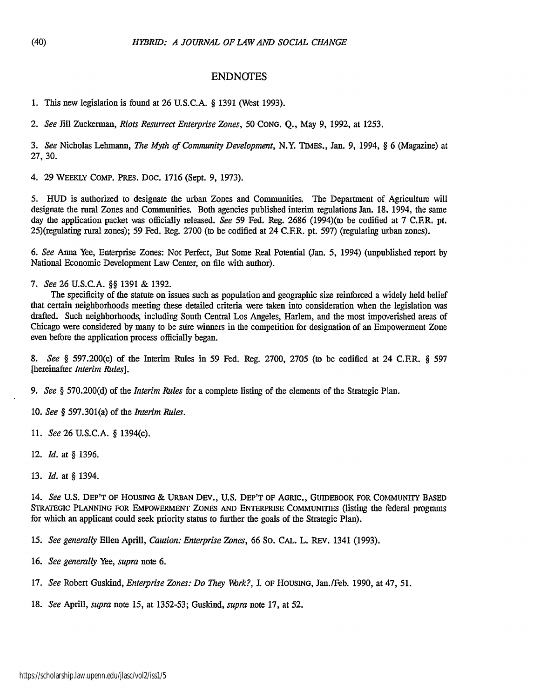#### ENDNOTES

1. This new legislation is found at 26 U.S.C.A. § 1391 (West 1993).

*2. See* Jill Zuckerman, *Riots Resurrect Enterprise Zones, 50* CONG. Q., May 9, 1992, at 1253.

*3. See* Nicholas Lehmann, *The Myth of Community Development,* N.Y. TIMES., Jan. 9, 1994, § 6 (Magazine) at 27, 30.

4. 29 WEEKLY COMP. PREs. Doc. 1716 (Sept. 9, 1973).

5. **HUD** is authorized to designate the urban Zones and Communities. The Department of Agriculture will designate the rural Zones and Communities. Both agencies published interim regulations Jan. **18,** 1994, the same day the application packet was officially released. *See* 59 Fed. Reg. 2686 (1994)(to be codified at 7 C.F.R. pt.  $25$ )(regulating rural zones); 59 Fed. Reg. 2700 (to be codified at 24 C.F.R. pt. 597) (regulating urban zones).

*6. See* Anna Yee, Enterprise Zones: Not Perfect, But Some Real Potential (Jan. 5, 1994) (unpublished report by National Economic Development Law Center, on file with author).

*7. See* 26 U.S.C.A. §§ 1391 & 1392.

The specificity of the statute on issues such as population and geographic size reinforced a widely held belief that certain neighborhoods meeting these detailed criteria were taken into consideration when the legislation was drafted. Such neighborhoods, including South Central Los Angeles, Harlem, and the most impoerished areas of Chicago were considered by many to be sure winners in the competition for designation of an Empowerment Zone even before the application process officially began.

*8. See §* 597.200(c) of the Interim Rules in 59 Fed. Reg. 2700, 2705 (to be codified at 24 C.FR. § 597 [hereinafter *Interim Rules].*

*9. See §* 570.200(d) of the *Interim Rules* for a complete listing of the elements of the Strategic Plan.

10. *See §* 597.301(a) of the *Interim Rules.*

11. *See* 26 U.S.C.A. § 1394(c).

12. *Id.* at § 1396.

13. *Id.* at § 1394.

14. *See* U.S. DEP'T OF HOUSING & URBAN DEv., **U.S.** DEP'T OF AGRIC., GUIDEBOOK FOR COMMUNITY **BASED** STRATEGIC **PLANNING** FOR EMPOWERMENT **ZONES AND** ENTERPRISE COMMUNITIES (listing the federal programs for which an applicant could seek priority status to further the goals of the Strategic Plan).

15. *See generally* Ellen Aprill, *Caution: Enterprise Zones,* 66 So. CAL. L. REv. 1341 (1993).

16. *See generally* Yee, *supra* note 6.

17. *See* Robert Guskind, *Enterprise Zones: Do They Wrk?,* J. OF **HOUSING,** Jan./Feb. 1990, at 47, 51.

18. *See* Aprill, *supra* note 15, at 1352-53; Guskind, *supra* note 17, at 52.